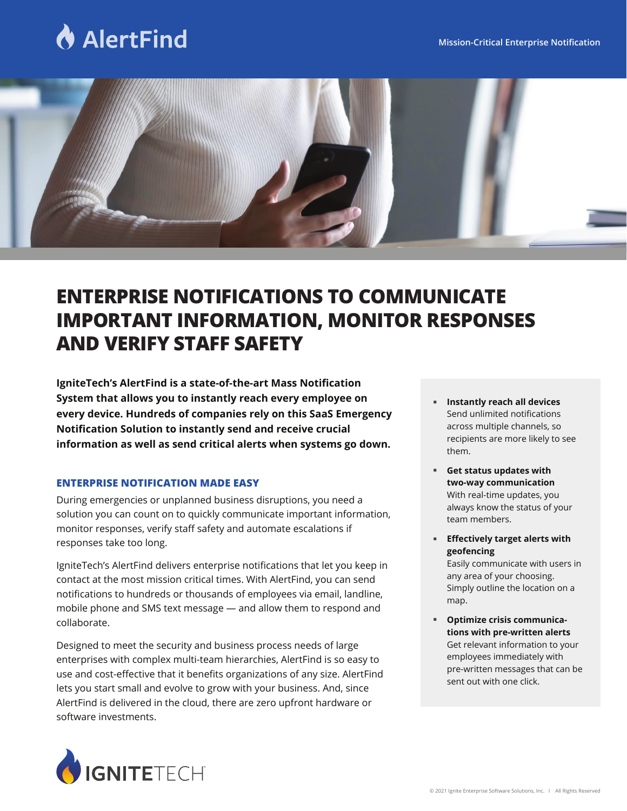# **AlertFind**



# **ENTERPRISE NOTIFICATIONS TO COMMUNICATE IMPORTANT INFORMATION, MONITOR RESPONSES AND VERIFY STAFF SAFETY**

**IgniteTech's AlertFind is a state-of-the-art Mass Notification System that allows you to instantly reach every employee on every device. Hundreds of companies rely on this SaaS Emergency Notification Solution to instantly send and receive crucial information as well as send critical alerts when systems go down.**

# **ENTERPRISE NOTIFICATION MADE EASY**

During emergencies or unplanned business disruptions, you need a solution you can count on to quickly communicate important information, monitor responses, verify staff safety and automate escalations if responses take too long.

IgniteTech's AlertFind delivers enterprise notifications that let you keep in contact at the most mission critical times. With AlertFind, you can send notifications to hundreds or thousands of employees via email, landline, mobile phone and SMS text message — and allow them to respond and collaborate.

Designed to meet the security and business process needs of large enterprises with complex multi-team hierarchies, AlertFind is so easy to use and cost-effective that it benefits organizations of any size. AlertFind lets you start small and evolve to grow with your business. And, since AlertFind is delivered in the cloud, there are zero upfront hardware or software investments.

- **Instantly reach all devices** Send unlimited notifications across multiple channels, so recipients are more likely to see them.
- **Get status updates with two-way communication** With real-time updates, you always know the status of your team members. ı
- **Effectively target alerts with geofencing** Easily communicate with users in any area of your choosing. Simply outline the location on a map. F
- **Optimize crisis communications with pre-written alerts** Get relevant information to your employees immediately with pre-written messages that can be sent out with one click. F

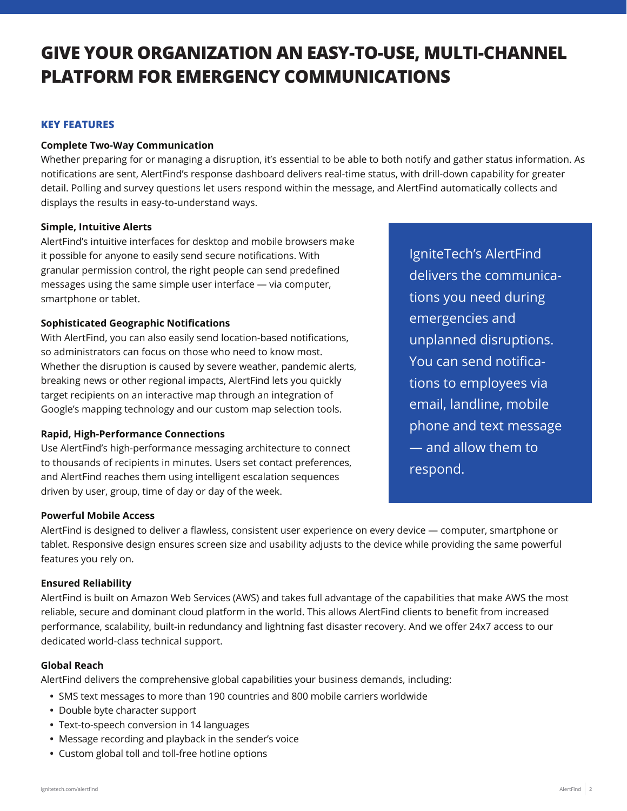# **GIVE YOUR ORGANIZATION AN EASY-TO-USE, MULTI-CHANNEL PLATFORM FOR EMERGENCY COMMUNICATIONS**

# **KEY FEATURES**

# **Complete Two-Way Communication**

Whether preparing for or managing a disruption, it's essential to be able to both notify and gather status information. As notifications are sent, AlertFind's response dashboard delivers real-time status, with drill-down capability for greater detail. Polling and survey questions let users respond within the message, and AlertFind automatically collects and displays the results in easy-to-understand ways.

## **Simple, Intuitive Alerts**

AlertFind's intuitive interfaces for desktop and mobile browsers make it possible for anyone to easily send secure notifications. With granular permission control, the right people can send predefined messages using the same simple user interface — via computer, smartphone or tablet.

## **Sophisticated Geographic Notifications**

With AlertFind, you can also easily send location-based notifications, so administrators can focus on those who need to know most. Whether the disruption is caused by severe weather, pandemic alerts, breaking news or other regional impacts, AlertFind lets you quickly target recipients on an interactive map through an integration of Google's mapping technology and our custom map selection tools.

# **Rapid, High-Performance Connections**

Use AlertFind's high-performance messaging architecture to connect to thousands of recipients in minutes. Users set contact preferences, and AlertFind reaches them using intelligent escalation sequences driven by user, group, time of day or day of the week.

IgniteTech's AlertFind delivers the communications you need during emergencies and unplanned disruptions. You can send notifications to employees via email, landline, mobile phone and text message — and allow them to respond.

# **Powerful Mobile Access**

AlertFind is designed to deliver a flawless, consistent user experience on every device — computer, smartphone or tablet. Responsive design ensures screen size and usability adjusts to the device while providing the same powerful features you rely on.

# **Ensured Reliability**

AlertFind is built on Amazon Web Services (AWS) and takes full advantage of the capabilities that make AWS the most reliable, secure and dominant cloud platform in the world. This allows AlertFind clients to benefit from increased performance, scalability, built-in redundancy and lightning fast disaster recovery. And we offer 24x7 access to our dedicated world-class technical support.

#### **Global Reach**

AlertFind delivers the comprehensive global capabilities your business demands, including:

- SMS text messages to more than 190 countries and 800 mobile carriers worldwide
- Double byte character support
- Text-to-speech conversion in 14 languages
- Message recording and playback in the sender's voice
- Custom global toll and toll-free hotline options